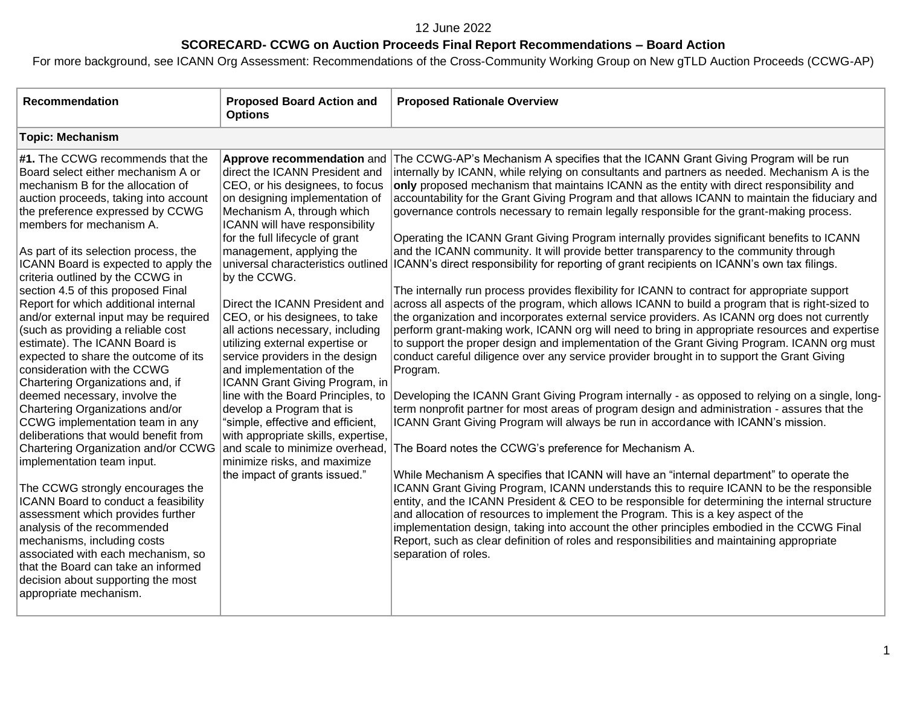# **SCORECARD- CCWG on Auction Proceeds Final Report Recommendations – Board Action**

| <b>Recommendation</b>                                                                                                                                                                                                                                                                                                                                                                                                                                                                                                                                                                                                                                                                                                                                                                                                                                                                                                                                                                                                                                                                                                                                                                               | <b>Proposed Board Action and</b><br><b>Options</b>                                                                                                                                                                                                                                                                                                                                                                                                                                                                                                                                                                                                                                                                                                                                                                     | <b>Proposed Rationale Overview</b>                                                                                                                                                                                                                                                                                                                                                                                                                                                                                                                                                                                                                                                                                                                                                                                                                                                                                                                                                                                                                                                                                                                                                                                                                                                                                                                                                                                                                                                                                                                                                                                                                                                                                                                                                                                                                                                                                                                                                                                                                                                                                                                                                                                                                                                                                                            |
|-----------------------------------------------------------------------------------------------------------------------------------------------------------------------------------------------------------------------------------------------------------------------------------------------------------------------------------------------------------------------------------------------------------------------------------------------------------------------------------------------------------------------------------------------------------------------------------------------------------------------------------------------------------------------------------------------------------------------------------------------------------------------------------------------------------------------------------------------------------------------------------------------------------------------------------------------------------------------------------------------------------------------------------------------------------------------------------------------------------------------------------------------------------------------------------------------------|------------------------------------------------------------------------------------------------------------------------------------------------------------------------------------------------------------------------------------------------------------------------------------------------------------------------------------------------------------------------------------------------------------------------------------------------------------------------------------------------------------------------------------------------------------------------------------------------------------------------------------------------------------------------------------------------------------------------------------------------------------------------------------------------------------------------|-----------------------------------------------------------------------------------------------------------------------------------------------------------------------------------------------------------------------------------------------------------------------------------------------------------------------------------------------------------------------------------------------------------------------------------------------------------------------------------------------------------------------------------------------------------------------------------------------------------------------------------------------------------------------------------------------------------------------------------------------------------------------------------------------------------------------------------------------------------------------------------------------------------------------------------------------------------------------------------------------------------------------------------------------------------------------------------------------------------------------------------------------------------------------------------------------------------------------------------------------------------------------------------------------------------------------------------------------------------------------------------------------------------------------------------------------------------------------------------------------------------------------------------------------------------------------------------------------------------------------------------------------------------------------------------------------------------------------------------------------------------------------------------------------------------------------------------------------------------------------------------------------------------------------------------------------------------------------------------------------------------------------------------------------------------------------------------------------------------------------------------------------------------------------------------------------------------------------------------------------------------------------------------------------------------------------------------------------|
| <b>Topic: Mechanism</b>                                                                                                                                                                                                                                                                                                                                                                                                                                                                                                                                                                                                                                                                                                                                                                                                                                                                                                                                                                                                                                                                                                                                                                             |                                                                                                                                                                                                                                                                                                                                                                                                                                                                                                                                                                                                                                                                                                                                                                                                                        |                                                                                                                                                                                                                                                                                                                                                                                                                                                                                                                                                                                                                                                                                                                                                                                                                                                                                                                                                                                                                                                                                                                                                                                                                                                                                                                                                                                                                                                                                                                                                                                                                                                                                                                                                                                                                                                                                                                                                                                                                                                                                                                                                                                                                                                                                                                                               |
| #1. The CCWG recommends that the<br>Board select either mechanism A or<br>mechanism B for the allocation of<br>auction proceeds, taking into account<br>the preference expressed by CCWG<br>members for mechanism A.<br>As part of its selection process, the<br>ICANN Board is expected to apply the<br>criteria outlined by the CCWG in<br>section 4.5 of this proposed Final<br>Report for which additional internal<br>and/or external input may be required<br>(such as providing a reliable cost<br>estimate). The ICANN Board is<br>expected to share the outcome of its<br>consideration with the CCWG<br>Chartering Organizations and, if<br>deemed necessary, involve the<br>Chartering Organizations and/or<br>CCWG implementation team in any<br>deliberations that would benefit from<br>Chartering Organization and/or CCWG<br>implementation team input.<br>The CCWG strongly encourages the<br>ICANN Board to conduct a feasibility<br>assessment which provides further<br>analysis of the recommended<br>mechanisms, including costs<br>associated with each mechanism, so<br>that the Board can take an informed<br>decision about supporting the most<br>appropriate mechanism. | Approve recommendation and<br>direct the ICANN President and<br>CEO, or his designees, to focus<br>on designing implementation of<br>Mechanism A, through which<br>ICANN will have responsibility<br>for the full lifecycle of grant<br>management, applying the<br>universal characteristics outlined<br>by the CCWG.<br>Direct the ICANN President and<br>CEO, or his designees, to take<br>all actions necessary, including<br>utilizing external expertise or<br>service providers in the design<br>and implementation of the<br>ICANN Grant Giving Program, in<br>line with the Board Principles, to<br>develop a Program that is<br>"simple, effective and efficient,<br>with appropriate skills, expertise,<br>and scale to minimize overhead,<br>minimize risks, and maximize<br>the impact of grants issued." | The CCWG-AP's Mechanism A specifies that the ICANN Grant Giving Program will be run<br>internally by ICANN, while relying on consultants and partners as needed. Mechanism A is the<br>only proposed mechanism that maintains ICANN as the entity with direct responsibility and<br>accountability for the Grant Giving Program and that allows ICANN to maintain the fiduciary and<br>governance controls necessary to remain legally responsible for the grant-making process.<br>Operating the ICANN Grant Giving Program internally provides significant benefits to ICANN<br>and the ICANN community. It will provide better transparency to the community through<br>ICANN's direct responsibility for reporting of grant recipients on ICANN's own tax filings.<br>The internally run process provides flexibility for ICANN to contract for appropriate support<br>across all aspects of the program, which allows ICANN to build a program that is right-sized to<br>the organization and incorporates external service providers. As ICANN org does not currently<br>perform grant-making work, ICANN org will need to bring in appropriate resources and expertise<br>to support the proper design and implementation of the Grant Giving Program. ICANN org must<br>conduct careful diligence over any service provider brought in to support the Grant Giving<br>Program.<br>Developing the ICANN Grant Giving Program internally - as opposed to relying on a single, long-<br>term nonprofit partner for most areas of program design and administration - assures that the<br>ICANN Grant Giving Program will always be run in accordance with ICANN's mission.<br>The Board notes the CCWG's preference for Mechanism A.<br>While Mechanism A specifies that ICANN will have an "internal department" to operate the<br>ICANN Grant Giving Program, ICANN understands this to require ICANN to be the responsible<br>entity, and the ICANN President & CEO to be responsible for determining the internal structure<br>and allocation of resources to implement the Program. This is a key aspect of the<br>implementation design, taking into account the other principles embodied in the CCWG Final<br>Report, such as clear definition of roles and responsibilities and maintaining appropriate<br>separation of roles. |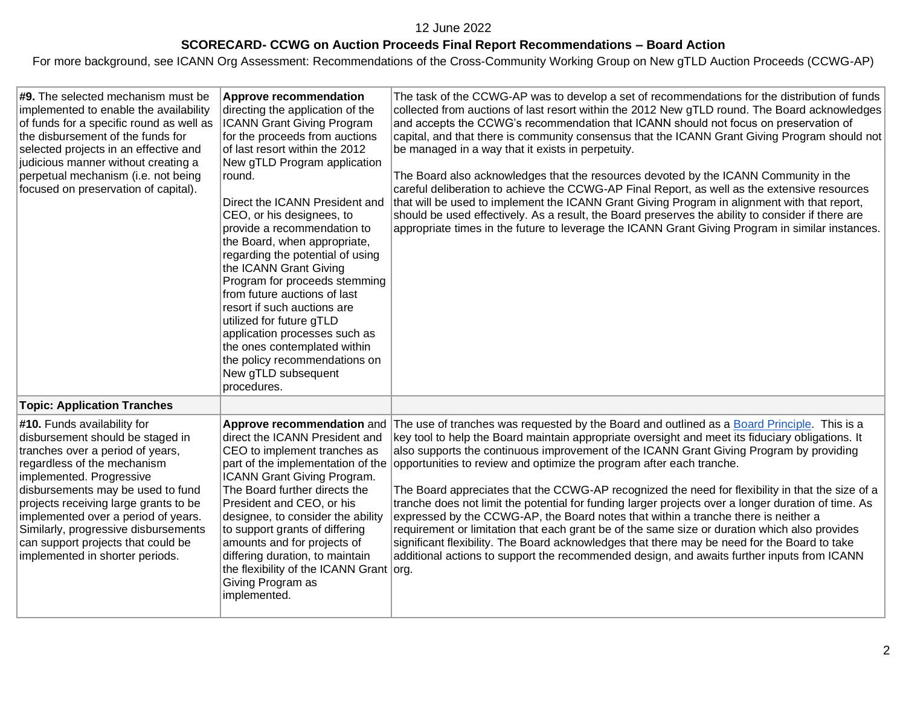# **SCORECARD- CCWG on Auction Proceeds Final Report Recommendations – Board Action**

| #9. The selected mechanism must be<br>implemented to enable the availability<br>of funds for a specific round as well as<br>the disbursement of the funds for<br>selected projects in an effective and<br>judicious manner without creating a<br>perpetual mechanism (i.e. not being<br>focused on preservation of capital).                                                                         | <b>Approve recommendation</b><br>directing the application of the<br><b>ICANN Grant Giving Program</b><br>for the proceeds from auctions<br>of last resort within the 2012<br>New gTLD Program application<br>round.<br>Direct the ICANN President and<br>CEO, or his designees, to<br>provide a recommendation to<br>the Board, when appropriate,<br>regarding the potential of using<br>the ICANN Grant Giving<br>Program for proceeds stemming<br>from future auctions of last<br>resort if such auctions are<br>utilized for future gTLD<br>application processes such as<br>the ones contemplated within<br>the policy recommendations on<br>New gTLD subsequent<br>procedures. | The task of the CCWG-AP was to develop a set of recommendations for the distribution of funds<br>collected from auctions of last resort within the 2012 New gTLD round. The Board acknowledges<br>and accepts the CCWG's recommendation that ICANN should not focus on preservation of<br>capital, and that there is community consensus that the ICANN Grant Giving Program should not<br>be managed in a way that it exists in perpetuity.<br>The Board also acknowledges that the resources devoted by the ICANN Community in the<br>careful deliberation to achieve the CCWG-AP Final Report, as well as the extensive resources<br>that will be used to implement the ICANN Grant Giving Program in alignment with that report,<br>should be used effectively. As a result, the Board preserves the ability to consider if there are<br>appropriate times in the future to leverage the ICANN Grant Giving Program in similar instances.                      |
|------------------------------------------------------------------------------------------------------------------------------------------------------------------------------------------------------------------------------------------------------------------------------------------------------------------------------------------------------------------------------------------------------|--------------------------------------------------------------------------------------------------------------------------------------------------------------------------------------------------------------------------------------------------------------------------------------------------------------------------------------------------------------------------------------------------------------------------------------------------------------------------------------------------------------------------------------------------------------------------------------------------------------------------------------------------------------------------------------|--------------------------------------------------------------------------------------------------------------------------------------------------------------------------------------------------------------------------------------------------------------------------------------------------------------------------------------------------------------------------------------------------------------------------------------------------------------------------------------------------------------------------------------------------------------------------------------------------------------------------------------------------------------------------------------------------------------------------------------------------------------------------------------------------------------------------------------------------------------------------------------------------------------------------------------------------------------------|
| <b>Topic: Application Tranches</b>                                                                                                                                                                                                                                                                                                                                                                   |                                                                                                                                                                                                                                                                                                                                                                                                                                                                                                                                                                                                                                                                                      |                                                                                                                                                                                                                                                                                                                                                                                                                                                                                                                                                                                                                                                                                                                                                                                                                                                                                                                                                                    |
| #10. Funds availability for<br>disbursement should be staged in<br>tranches over a period of years,<br>regardless of the mechanism<br>implemented. Progressive<br>disbursements may be used to fund<br>projects receiving large grants to be<br>implemented over a period of years.<br>Similarly, progressive disbursements<br>can support projects that could be<br>implemented in shorter periods. | Approve recommendation and<br>direct the ICANN President and<br>CEO to implement tranches as<br>part of the implementation of the<br>ICANN Grant Giving Program.<br>The Board further directs the<br>President and CEO, or his<br>designee, to consider the ability<br>to support grants of differing<br>amounts and for projects of<br>differing duration, to maintain<br>the flexibility of the ICANN Grant org.<br>Giving Program as<br>implemented.                                                                                                                                                                                                                              | The use of tranches was requested by the Board and outlined as a Board Principle. This is a<br>key tool to help the Board maintain appropriate oversight and meet its fiduciary obligations. It<br>also supports the continuous improvement of the ICANN Grant Giving Program by providing<br>opportunities to review and optimize the program after each tranche.<br>The Board appreciates that the CCWG-AP recognized the need for flexibility in that the size of a<br>tranche does not limit the potential for funding larger projects over a longer duration of time. As<br>expressed by the CCWG-AP, the Board notes that within a tranche there is neither a<br>requirement or limitation that each grant be of the same size or duration which also provides<br>significant flexibility. The Board acknowledges that there may be need for the Board to take<br>additional actions to support the recommended design, and awaits further inputs from ICANN |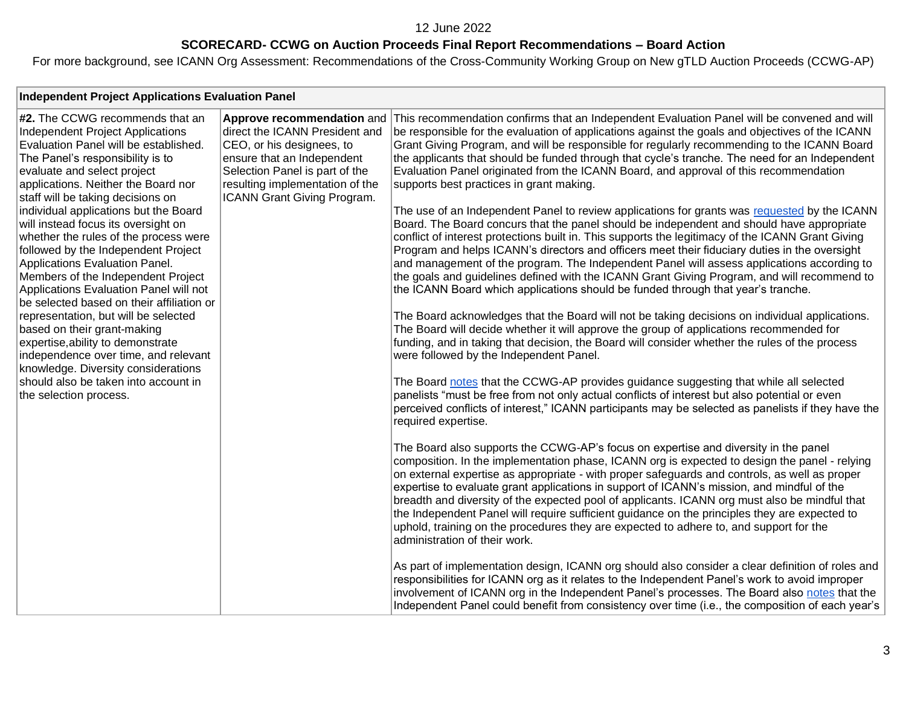## **SCORECARD- CCWG on Auction Proceeds Final Report Recommendations – Board Action**

| <b>Independent Project Applications Evaluation Panel</b>                                                                                                                                                                                                                                                                                                                                                                                                                                                                                                                                                                                                                                                                                                                                                                                                |                                                                                                                                                                                                                             |                                                                                                                                                                                                                                                                                                                                                                                                                                                                                                                                                                                                                                                                                                                                                                                                                                                                                                                                                                                                                                                                                                                                                                                                                                                                                                                                                                                                                                                                                                                                                                                                                                                                                                                                                                                                                                                                                                                                                                                                                                                                                                                                                                                                                                                                                                                                                                                                                                                                                    |  |
|---------------------------------------------------------------------------------------------------------------------------------------------------------------------------------------------------------------------------------------------------------------------------------------------------------------------------------------------------------------------------------------------------------------------------------------------------------------------------------------------------------------------------------------------------------------------------------------------------------------------------------------------------------------------------------------------------------------------------------------------------------------------------------------------------------------------------------------------------------|-----------------------------------------------------------------------------------------------------------------------------------------------------------------------------------------------------------------------------|------------------------------------------------------------------------------------------------------------------------------------------------------------------------------------------------------------------------------------------------------------------------------------------------------------------------------------------------------------------------------------------------------------------------------------------------------------------------------------------------------------------------------------------------------------------------------------------------------------------------------------------------------------------------------------------------------------------------------------------------------------------------------------------------------------------------------------------------------------------------------------------------------------------------------------------------------------------------------------------------------------------------------------------------------------------------------------------------------------------------------------------------------------------------------------------------------------------------------------------------------------------------------------------------------------------------------------------------------------------------------------------------------------------------------------------------------------------------------------------------------------------------------------------------------------------------------------------------------------------------------------------------------------------------------------------------------------------------------------------------------------------------------------------------------------------------------------------------------------------------------------------------------------------------------------------------------------------------------------------------------------------------------------------------------------------------------------------------------------------------------------------------------------------------------------------------------------------------------------------------------------------------------------------------------------------------------------------------------------------------------------------------------------------------------------------------------------------------------------|--|
| #2. The CCWG recommends that an<br>Independent Project Applications<br>Evaluation Panel will be established.<br>The Panel's responsibility is to<br>evaluate and select project<br>applications. Neither the Board nor<br>staff will be taking decisions on<br>individual applications but the Board<br>will instead focus its oversight on<br>whether the rules of the process were<br>followed by the Independent Project<br>Applications Evaluation Panel.<br>Members of the Independent Project<br>Applications Evaluation Panel will not<br>be selected based on their affiliation or<br>representation, but will be selected<br>based on their grant-making<br>expertise, ability to demonstrate<br>independence over time, and relevant<br>knowledge. Diversity considerations<br>should also be taken into account in<br>the selection process. | Approve recommendation and<br>direct the ICANN President and<br>CEO, or his designees, to<br>ensure that an Independent<br>Selection Panel is part of the<br>resulting implementation of the<br>ICANN Grant Giving Program. | This recommendation confirms that an Independent Evaluation Panel will be convened and will<br>be responsible for the evaluation of applications against the goals and objectives of the ICANN<br>Grant Giving Program, and will be responsible for regularly recommending to the ICANN Board<br>the applicants that should be funded through that cycle's tranche. The need for an Independent<br>Evaluation Panel originated from the ICANN Board, and approval of this recommendation<br>supports best practices in grant making.<br>The use of an Independent Panel to review applications for grants was requested by the ICANN<br>Board. The Board concurs that the panel should be independent and should have appropriate<br>conflict of interest protections built in. This supports the legitimacy of the ICANN Grant Giving<br>Program and helps ICANN's directors and officers meet their fiduciary duties in the oversight<br>and management of the program. The Independent Panel will assess applications according to<br>the goals and guidelines defined with the ICANN Grant Giving Program, and will recommend to<br>the ICANN Board which applications should be funded through that year's tranche.<br>The Board acknowledges that the Board will not be taking decisions on individual applications.<br>The Board will decide whether it will approve the group of applications recommended for<br>funding, and in taking that decision, the Board will consider whether the rules of the process<br>were followed by the Independent Panel.<br>The Board notes that the CCWG-AP provides guidance suggesting that while all selected<br>panelists "must be free from not only actual conflicts of interest but also potential or even<br>perceived conflicts of interest," ICANN participants may be selected as panelists if they have the<br>required expertise.<br>The Board also supports the CCWG-AP's focus on expertise and diversity in the panel<br>composition. In the implementation phase, ICANN org is expected to design the panel - relying<br>on external expertise as appropriate - with proper safeguards and controls, as well as proper<br>expertise to evaluate grant applications in support of ICANN's mission, and mindful of the<br>breadth and diversity of the expected pool of applicants. ICANN org must also be mindful that<br>the Independent Panel will require sufficient guidance on the principles they are expected to |  |
|                                                                                                                                                                                                                                                                                                                                                                                                                                                                                                                                                                                                                                                                                                                                                                                                                                                         |                                                                                                                                                                                                                             | uphold, training on the procedures they are expected to adhere to, and support for the<br>administration of their work.                                                                                                                                                                                                                                                                                                                                                                                                                                                                                                                                                                                                                                                                                                                                                                                                                                                                                                                                                                                                                                                                                                                                                                                                                                                                                                                                                                                                                                                                                                                                                                                                                                                                                                                                                                                                                                                                                                                                                                                                                                                                                                                                                                                                                                                                                                                                                            |  |
|                                                                                                                                                                                                                                                                                                                                                                                                                                                                                                                                                                                                                                                                                                                                                                                                                                                         |                                                                                                                                                                                                                             | As part of implementation design, ICANN org should also consider a clear definition of roles and<br>responsibilities for ICANN org as it relates to the Independent Panel's work to avoid improper<br>involvement of ICANN org in the Independent Panel's processes. The Board also notes that the                                                                                                                                                                                                                                                                                                                                                                                                                                                                                                                                                                                                                                                                                                                                                                                                                                                                                                                                                                                                                                                                                                                                                                                                                                                                                                                                                                                                                                                                                                                                                                                                                                                                                                                                                                                                                                                                                                                                                                                                                                                                                                                                                                                 |  |
|                                                                                                                                                                                                                                                                                                                                                                                                                                                                                                                                                                                                                                                                                                                                                                                                                                                         |                                                                                                                                                                                                                             | Independent Panel could benefit from consistency over time (i.e., the composition of each year's                                                                                                                                                                                                                                                                                                                                                                                                                                                                                                                                                                                                                                                                                                                                                                                                                                                                                                                                                                                                                                                                                                                                                                                                                                                                                                                                                                                                                                                                                                                                                                                                                                                                                                                                                                                                                                                                                                                                                                                                                                                                                                                                                                                                                                                                                                                                                                                   |  |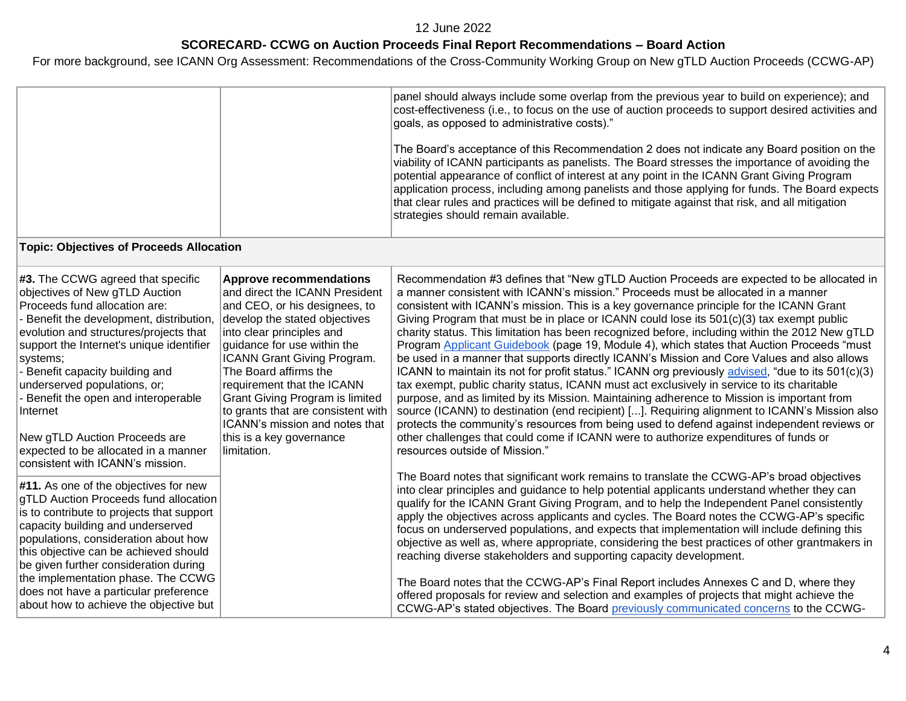# **SCORECARD- CCWG on Auction Proceeds Final Report Recommendations – Board Action**

|                                                                                                                                                                                                                                                                                                                                                                                                                                                   | panel should always include some overlap from the previous year to build on experience); and<br>cost-effectiveness (i.e., to focus on the use of auction proceeds to support desired activities and<br>goals, as opposed to administrative costs)."<br>The Board's acceptance of this Recommendation 2 does not indicate any Board position on the<br>viability of ICANN participants as panelists. The Board stresses the importance of avoiding the<br>potential appearance of conflict of interest at any point in the ICANN Grant Giving Program<br>application process, including among panelists and those applying for funds. The Board expects<br>that clear rules and practices will be defined to mitigate against that risk, and all mitigation<br>strategies should remain available.                                                                                                                                                                                                                                                                                                                                                                                                                                                                                             |
|---------------------------------------------------------------------------------------------------------------------------------------------------------------------------------------------------------------------------------------------------------------------------------------------------------------------------------------------------------------------------------------------------------------------------------------------------|-----------------------------------------------------------------------------------------------------------------------------------------------------------------------------------------------------------------------------------------------------------------------------------------------------------------------------------------------------------------------------------------------------------------------------------------------------------------------------------------------------------------------------------------------------------------------------------------------------------------------------------------------------------------------------------------------------------------------------------------------------------------------------------------------------------------------------------------------------------------------------------------------------------------------------------------------------------------------------------------------------------------------------------------------------------------------------------------------------------------------------------------------------------------------------------------------------------------------------------------------------------------------------------------------|
|                                                                                                                                                                                                                                                                                                                                                                                                                                                   |                                                                                                                                                                                                                                                                                                                                                                                                                                                                                                                                                                                                                                                                                                                                                                                                                                                                                                                                                                                                                                                                                                                                                                                                                                                                                               |
| <b>Approve recommendations</b><br>and direct the ICANN President<br>and CEO, or his designees, to<br>develop the stated objectives<br>into clear principles and<br>guidance for use within the<br>ICANN Grant Giving Program.<br>The Board affirms the<br>requirement that the ICANN<br><b>Grant Giving Program is limited</b><br>to grants that are consistent with<br>ICANN's mission and notes that<br>this is a key governance<br>limitation. | Recommendation #3 defines that "New gTLD Auction Proceeds are expected to be allocated in<br>a manner consistent with ICANN's mission." Proceeds must be allocated in a manner<br>consistent with ICANN's mission. This is a key governance principle for the ICANN Grant<br>Giving Program that must be in place or ICANN could lose its 501(c)(3) tax exempt public<br>charity status. This limitation has been recognized before, including within the 2012 New gTLD<br>Program Applicant Guidebook (page 19, Module 4), which states that Auction Proceeds "must<br>be used in a manner that supports directly ICANN's Mission and Core Values and also allows<br>ICANN to maintain its not for profit status." ICANN org previously advised, "due to its 501(c)(3)<br>tax exempt, public charity status, ICANN must act exclusively in service to its charitable<br>purpose, and as limited by its Mission. Maintaining adherence to Mission is important from<br>source (ICANN) to destination (end recipient) []. Requiring alignment to ICANN's Mission also<br>protects the community's resources from being used to defend against independent reviews or<br>other challenges that could come if ICANN were to authorize expenditures of funds or<br>resources outside of Mission." |
|                                                                                                                                                                                                                                                                                                                                                                                                                                                   | The Board notes that significant work remains to translate the CCWG-AP's broad objectives<br>into clear principles and guidance to help potential applicants understand whether they can<br>qualify for the ICANN Grant Giving Program, and to help the Independent Panel consistently<br>apply the objectives across applicants and cycles. The Board notes the CCWG-AP's specific<br>focus on underserved populations, and expects that implementation will include defining this<br>objective as well as, where appropriate, considering the best practices of other grantmakers in<br>reaching diverse stakeholders and supporting capacity development.<br>The Board notes that the CCWG-AP's Final Report includes Annexes C and D, where they<br>offered proposals for review and selection and examples of projects that might achieve the                                                                                                                                                                                                                                                                                                                                                                                                                                            |
|                                                                                                                                                                                                                                                                                                                                                                                                                                                   | <b>Topic: Objectives of Proceeds Allocation</b><br>gTLD Auction Proceeds fund allocation                                                                                                                                                                                                                                                                                                                                                                                                                                                                                                                                                                                                                                                                                                                                                                                                                                                                                                                                                                                                                                                                                                                                                                                                      |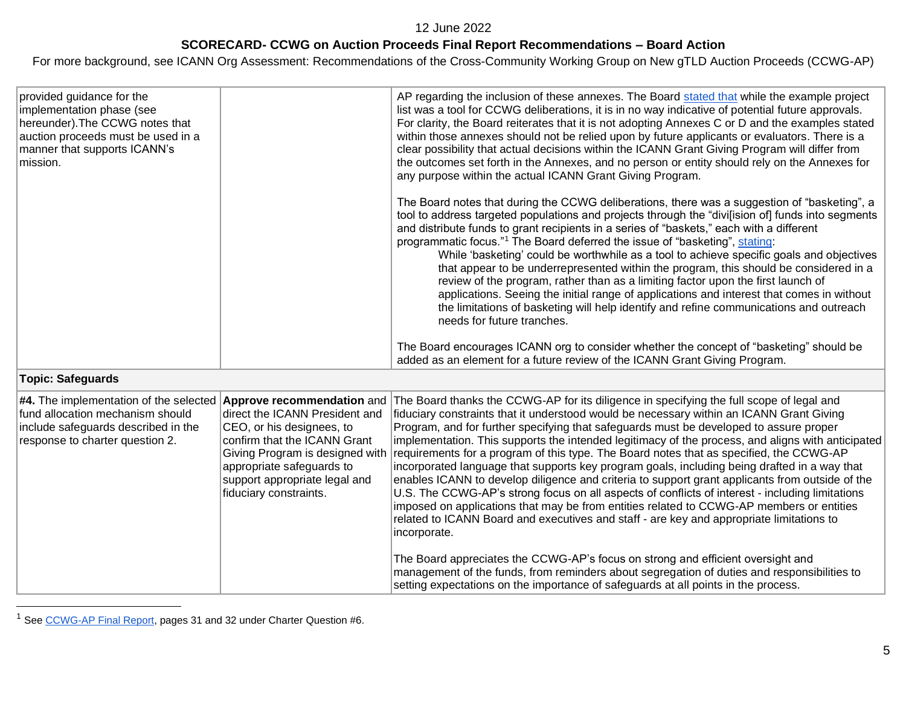#### **SCORECARD- CCWG on Auction Proceeds Final Report Recommendations – Board Action**

For more background, see ICANN Org Assessment: Recommendations of the Cross-Community Working Group on New gTLD Auction Proceeds (CCWG-AP)

| provided guidance for the<br>implementation phase (see<br>hereunder). The CCWG notes that<br>auction proceeds must be used in a<br>manner that supports ICANN's<br>mission.     |                                                                                                                                                                                              | AP regarding the inclusion of these annexes. The Board stated that while the example project<br>list was a tool for CCWG deliberations, it is in no way indicative of potential future approvals.<br>For clarity, the Board reiterates that it is not adopting Annexes C or D and the examples stated<br>within those annexes should not be relied upon by future applicants or evaluators. There is a<br>clear possibility that actual decisions within the ICANN Grant Giving Program will differ from<br>the outcomes set forth in the Annexes, and no person or entity should rely on the Annexes for<br>any purpose within the actual ICANN Grant Giving Program.<br>The Board notes that during the CCWG deliberations, there was a suggestion of "basketing", a<br>tool to address targeted populations and projects through the "divi[ision of] funds into segments<br>and distribute funds to grant recipients in a series of "baskets," each with a different<br>programmatic focus." <sup>1</sup> The Board deferred the issue of "basketing", stating.<br>While 'basketing' could be worthwhile as a tool to achieve specific goals and objectives<br>that appear to be underrepresented within the program, this should be considered in a<br>review of the program, rather than as a limiting factor upon the first launch of<br>applications. Seeing the initial range of applications and interest that comes in without<br>the limitations of basketing will help identify and refine communications and outreach<br>needs for future tranches. |
|---------------------------------------------------------------------------------------------------------------------------------------------------------------------------------|----------------------------------------------------------------------------------------------------------------------------------------------------------------------------------------------|------------------------------------------------------------------------------------------------------------------------------------------------------------------------------------------------------------------------------------------------------------------------------------------------------------------------------------------------------------------------------------------------------------------------------------------------------------------------------------------------------------------------------------------------------------------------------------------------------------------------------------------------------------------------------------------------------------------------------------------------------------------------------------------------------------------------------------------------------------------------------------------------------------------------------------------------------------------------------------------------------------------------------------------------------------------------------------------------------------------------------------------------------------------------------------------------------------------------------------------------------------------------------------------------------------------------------------------------------------------------------------------------------------------------------------------------------------------------------------------------------------------------------------------------------------------|
|                                                                                                                                                                                 |                                                                                                                                                                                              | The Board encourages ICANN org to consider whether the concept of "basketing" should be<br>added as an element for a future review of the ICANN Grant Giving Program.                                                                                                                                                                                                                                                                                                                                                                                                                                                                                                                                                                                                                                                                                                                                                                                                                                                                                                                                                                                                                                                                                                                                                                                                                                                                                                                                                                                            |
| <b>Topic: Safeguards</b>                                                                                                                                                        |                                                                                                                                                                                              |                                                                                                                                                                                                                                                                                                                                                                                                                                                                                                                                                                                                                                                                                                                                                                                                                                                                                                                                                                                                                                                                                                                                                                                                                                                                                                                                                                                                                                                                                                                                                                  |
| #4. The implementation of the selected Approve recommendation and<br>fund allocation mechanism should<br>include safeguards described in the<br>response to charter question 2. | direct the ICANN President and<br>CEO, or his designees, to<br>confirm that the ICANN Grant<br>Giving Program is designed with<br>appropriate safeguards to<br>support appropriate legal and | The Board thanks the CCWG-AP for its diligence in specifying the full scope of legal and<br>fiduciary constraints that it understood would be necessary within an ICANN Grant Giving<br>Program, and for further specifying that safeguards must be developed to assure proper<br>implementation. This supports the intended legitimacy of the process, and aligns with anticipated<br>requirements for a program of this type. The Board notes that as specified, the CCWG-AP<br>incorporated language that supports key program goals, including being drafted in a way that<br>enables ICANN to develop diligence and criteria to support grant applicants from outside of the                                                                                                                                                                                                                                                                                                                                                                                                                                                                                                                                                                                                                                                                                                                                                                                                                                                                                |

incorporate.

 $|U.S.$  The CCWG-AP's strong focus on all aspects of conflicts of interest - including limitations imposed on applications that may be from entities related to CCWG-AP members or entities related to ICANN Board and executives and staff - are key and appropriate limitations to

management of the funds, from reminders about segregation of duties and responsibilities to

The Board appreciates the CCWG-AP's focus on strong and efficient oversight and

setting expectations on the importance of safeguards at all points in the process.

fiduciary constraints.

<sup>1</sup> Se[e CCWG-AP Final Report,](https://community.icann.org/download/attachments/63149512/New%20gTLD%20AP%20CCWG%20Final%20Report_29%20May%202020.pdf?version=1&modificationDate=1590774896000&api=v2) pages 31 and 32 under Charter Question #6.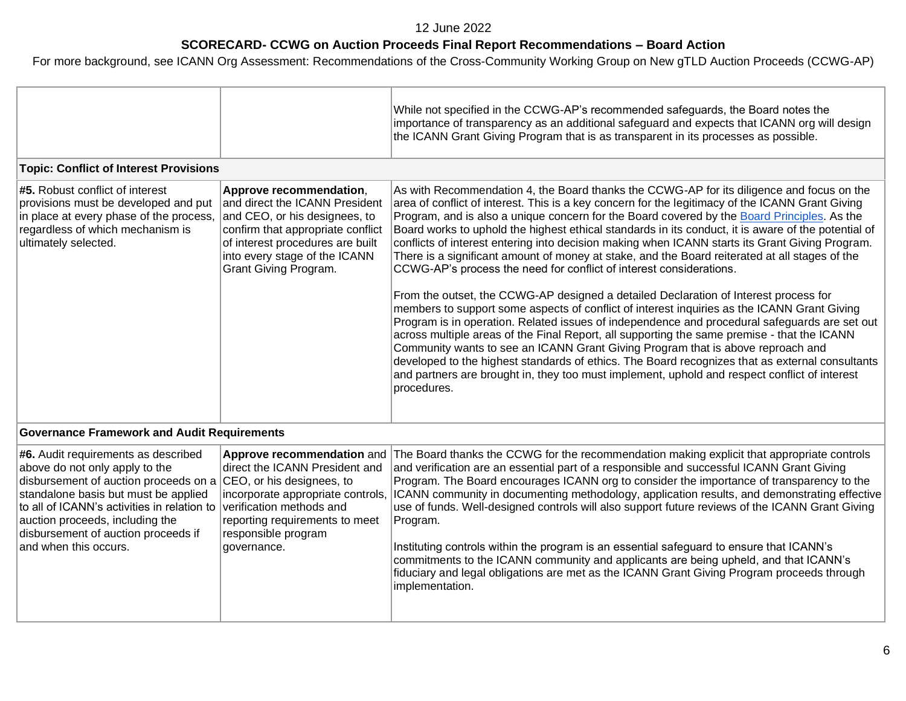# **SCORECARD- CCWG on Auction Proceeds Final Report Recommendations – Board Action**

|                                                                                                                                                                                                                                                                                                          |                                                                                                                                                                                                                               | While not specified in the CCWG-AP's recommended safeguards, the Board notes the<br>importance of transparency as an additional safeguard and expects that ICANN org will design<br>the ICANN Grant Giving Program that is as transparent in its processes as possible.                                                                                                                                                                                                                                                                                                                                                                                                                                                                                                                                                                                                                                                                                                                                                                                                                                                                                                                                                                                                                                                                                                      |
|----------------------------------------------------------------------------------------------------------------------------------------------------------------------------------------------------------------------------------------------------------------------------------------------------------|-------------------------------------------------------------------------------------------------------------------------------------------------------------------------------------------------------------------------------|------------------------------------------------------------------------------------------------------------------------------------------------------------------------------------------------------------------------------------------------------------------------------------------------------------------------------------------------------------------------------------------------------------------------------------------------------------------------------------------------------------------------------------------------------------------------------------------------------------------------------------------------------------------------------------------------------------------------------------------------------------------------------------------------------------------------------------------------------------------------------------------------------------------------------------------------------------------------------------------------------------------------------------------------------------------------------------------------------------------------------------------------------------------------------------------------------------------------------------------------------------------------------------------------------------------------------------------------------------------------------|
| <b>Topic: Conflict of Interest Provisions</b>                                                                                                                                                                                                                                                            |                                                                                                                                                                                                                               |                                                                                                                                                                                                                                                                                                                                                                                                                                                                                                                                                                                                                                                                                                                                                                                                                                                                                                                                                                                                                                                                                                                                                                                                                                                                                                                                                                              |
| #5. Robust conflict of interest<br>provisions must be developed and put<br>in place at every phase of the process,<br>regardless of which mechanism is<br>ultimately selected.                                                                                                                           | Approve recommendation,<br>and direct the ICANN President<br>and CEO, or his designees, to<br>confirm that appropriate conflict<br>of interest procedures are built<br>into every stage of the ICANN<br>Grant Giving Program. | As with Recommendation 4, the Board thanks the CCWG-AP for its diligence and focus on the<br>area of conflict of interest. This is a key concern for the legitimacy of the ICANN Grant Giving<br>Program, and is also a unique concern for the Board covered by the Board Principles. As the<br>Board works to uphold the highest ethical standards in its conduct, it is aware of the potential of<br>conflicts of interest entering into decision making when ICANN starts its Grant Giving Program.<br>There is a significant amount of money at stake, and the Board reiterated at all stages of the<br>CCWG-AP's process the need for conflict of interest considerations.<br>From the outset, the CCWG-AP designed a detailed Declaration of Interest process for<br>members to support some aspects of conflict of interest inquiries as the ICANN Grant Giving<br>Program is in operation. Related issues of independence and procedural safeguards are set out<br>across multiple areas of the Final Report, all supporting the same premise - that the ICANN<br>Community wants to see an ICANN Grant Giving Program that is above reproach and<br>developed to the highest standards of ethics. The Board recognizes that as external consultants<br>and partners are brought in, they too must implement, uphold and respect conflict of interest<br>procedures. |
| <b>Governance Framework and Audit Requirements</b>                                                                                                                                                                                                                                                       |                                                                                                                                                                                                                               |                                                                                                                                                                                                                                                                                                                                                                                                                                                                                                                                                                                                                                                                                                                                                                                                                                                                                                                                                                                                                                                                                                                                                                                                                                                                                                                                                                              |
| #6. Audit requirements as described<br>above do not only apply to the<br>disbursement of auction proceeds on a<br>standalone basis but must be applied<br>to all of ICANN's activities in relation to<br>auction proceeds, including the<br>disbursement of auction proceeds if<br>and when this occurs. | Approve recommendation and<br>direct the ICANN President and<br>CEO, or his designees, to<br>verification methods and<br>reporting requirements to meet<br>responsible program<br>governance.                                 | The Board thanks the CCWG for the recommendation making explicit that appropriate controls<br>and verification are an essential part of a responsible and successful ICANN Grant Giving<br>Program. The Board encourages ICANN org to consider the importance of transparency to the<br>incorporate appropriate controls, ICANN community in documenting methodology, application results, and demonstrating effective<br>use of funds. Well-designed controls will also support future reviews of the ICANN Grant Giving<br>Program.<br>Instituting controls within the program is an essential safeguard to ensure that ICANN's<br>commitments to the ICANN community and applicants are being upheld, and that ICANN's<br>fiduciary and legal obligations are met as the ICANN Grant Giving Program proceeds through<br>implementation.                                                                                                                                                                                                                                                                                                                                                                                                                                                                                                                                   |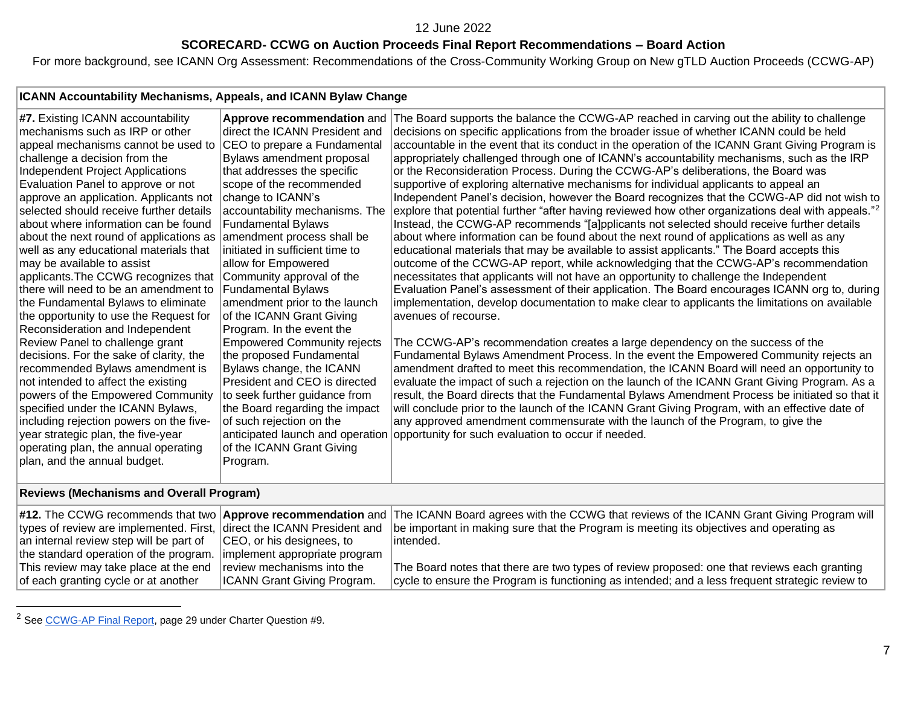## **SCORECARD- CCWG on Auction Proceeds Final Report Recommendations – Board Action**

For more background, see ICANN Org Assessment: Recommendations of the Cross-Community Working Group on New gTLD Auction Proceeds (CCWG-AP)

| ICANN Accountability Mechanisms, Appeals, and ICANN Bylaw Change                                                                                                                                                                                                                                                                                                                                                                                                                                                                                                                                                                                                                                                                                                                                                                                                                                                                                                                                                                                                       |                                                                                                                                                                                                                                                                                                                                                                                                                                                                                                                                                                                                                                                                                                                                                                                                                                  |                                                                                                                                                                                                                                                                                                                                                                                                                                                                                                                                                                                                                                                                                                                                                                                                                                                                                                                                                                                                                                                                                                                                                                                                                                                                                                                                                                                                                                                                                                                                                                                                                                                                                                                                                                                                                                                                                                                                                                                                                                                                                                                                                                                                                   |
|------------------------------------------------------------------------------------------------------------------------------------------------------------------------------------------------------------------------------------------------------------------------------------------------------------------------------------------------------------------------------------------------------------------------------------------------------------------------------------------------------------------------------------------------------------------------------------------------------------------------------------------------------------------------------------------------------------------------------------------------------------------------------------------------------------------------------------------------------------------------------------------------------------------------------------------------------------------------------------------------------------------------------------------------------------------------|----------------------------------------------------------------------------------------------------------------------------------------------------------------------------------------------------------------------------------------------------------------------------------------------------------------------------------------------------------------------------------------------------------------------------------------------------------------------------------------------------------------------------------------------------------------------------------------------------------------------------------------------------------------------------------------------------------------------------------------------------------------------------------------------------------------------------------|-------------------------------------------------------------------------------------------------------------------------------------------------------------------------------------------------------------------------------------------------------------------------------------------------------------------------------------------------------------------------------------------------------------------------------------------------------------------------------------------------------------------------------------------------------------------------------------------------------------------------------------------------------------------------------------------------------------------------------------------------------------------------------------------------------------------------------------------------------------------------------------------------------------------------------------------------------------------------------------------------------------------------------------------------------------------------------------------------------------------------------------------------------------------------------------------------------------------------------------------------------------------------------------------------------------------------------------------------------------------------------------------------------------------------------------------------------------------------------------------------------------------------------------------------------------------------------------------------------------------------------------------------------------------------------------------------------------------------------------------------------------------------------------------------------------------------------------------------------------------------------------------------------------------------------------------------------------------------------------------------------------------------------------------------------------------------------------------------------------------------------------------------------------------------------------------------------------------|
| #7. Existing ICANN accountability<br>mechanisms such as IRP or other<br>appeal mechanisms cannot be used to<br>challenge a decision from the<br>Independent Project Applications<br>Evaluation Panel to approve or not<br>approve an application. Applicants not<br>selected should receive further details<br>about where information can be found<br>about the next round of applications as<br>well as any educational materials that<br>may be available to assist<br>applicants. The CCWG recognizes that<br>there will need to be an amendment to<br>the Fundamental Bylaws to eliminate<br>the opportunity to use the Request for<br>Reconsideration and Independent<br>Review Panel to challenge grant<br>decisions. For the sake of clarity, the<br>recommended Bylaws amendment is<br>not intended to affect the existing<br>powers of the Empowered Community<br>specified under the ICANN Bylaws,<br>including rejection powers on the five-<br>year strategic plan, the five-year<br>operating plan, the annual operating<br>plan, and the annual budget. | Approve recommendation and<br>direct the ICANN President and<br>CEO to prepare a Fundamental<br>Bylaws amendment proposal<br>that addresses the specific<br>scope of the recommended<br>change to ICANN's<br>accountability mechanisms. The<br><b>Fundamental Bylaws</b><br>amendment process shall be<br>initiated in sufficient time to<br>allow for Empowered<br>Community approval of the<br><b>Fundamental Bylaws</b><br>amendment prior to the launch<br>of the ICANN Grant Giving<br>Program. In the event the<br><b>Empowered Community rejects</b><br>the proposed Fundamental<br>Bylaws change, the ICANN<br>President and CEO is directed<br>to seek further guidance from<br>the Board regarding the impact<br>of such rejection on the<br>anticipated launch and operation<br>of the ICANN Grant Giving<br>Program. | The Board supports the balance the CCWG-AP reached in carving out the ability to challenge<br>decisions on specific applications from the broader issue of whether ICANN could be held<br>accountable in the event that its conduct in the operation of the ICANN Grant Giving Program is<br>appropriately challenged through one of ICANN's accountability mechanisms, such as the IRP<br>or the Reconsideration Process. During the CCWG-AP's deliberations, the Board was<br>supportive of exploring alternative mechanisms for individual applicants to appeal an<br>Independent Panel's decision, however the Board recognizes that the CCWG-AP did not wish to<br>explore that potential further "after having reviewed how other organizations deal with appeals." <sup>2</sup><br>Instead, the CCWG-AP recommends "[a]pplicants not selected should receive further details<br>about where information can be found about the next round of applications as well as any<br>educational materials that may be available to assist applicants." The Board accepts this<br>outcome of the CCWG-AP report, while acknowledging that the CCWG-AP's recommendation<br>necessitates that applicants will not have an opportunity to challenge the Independent<br>Evaluation Panel's assessment of their application. The Board encourages ICANN org to, during<br>implementation, develop documentation to make clear to applicants the limitations on available<br>avenues of recourse.<br>The CCWG-AP's recommendation creates a large dependency on the success of the<br>Fundamental Bylaws Amendment Process. In the event the Empowered Community rejects an<br>amendment drafted to meet this recommendation, the ICANN Board will need an opportunity to<br>evaluate the impact of such a rejection on the launch of the ICANN Grant Giving Program. As a<br>result, the Board directs that the Fundamental Bylaws Amendment Process be initiated so that it<br>will conclude prior to the launch of the ICANN Grant Giving Program, with an effective date of<br>any approved amendment commensurate with the launch of the Program, to give the<br>opportunity for such evaluation to occur if needed. |
| .                                                                                                                                                                                                                                                                                                                                                                                                                                                                                                                                                                                                                                                                                                                                                                                                                                                                                                                                                                                                                                                                      |                                                                                                                                                                                                                                                                                                                                                                                                                                                                                                                                                                                                                                                                                                                                                                                                                                  |                                                                                                                                                                                                                                                                                                                                                                                                                                                                                                                                                                                                                                                                                                                                                                                                                                                                                                                                                                                                                                                                                                                                                                                                                                                                                                                                                                                                                                                                                                                                                                                                                                                                                                                                                                                                                                                                                                                                                                                                                                                                                                                                                                                                                   |

#### **Reviews (Mechanisms and Overall Program)**

|                                                                        |                                    | #12. The CCWG recommends that two <b>Approve recommendation</b> and The ICANN Board agrees with the CCWG that reviews of the ICANN Grant Giving Program will |
|------------------------------------------------------------------------|------------------------------------|--------------------------------------------------------------------------------------------------------------------------------------------------------------|
| types of review are implemented. First, direct the ICANN President and |                                    | be important in making sure that the Program is meeting its objectives and operating as                                                                      |
| an internal review step will be part of                                | CEO, or his designees, to          | lintended.                                                                                                                                                   |
| the standard operation of the program.                                 | implement appropriate program      |                                                                                                                                                              |
| This review may take place at the end                                  | review mechanisms into the         | The Board notes that there are two types of review proposed: one that reviews each granting                                                                  |
| of each granting cycle or at another                                   | <b>ICANN Grant Giving Program.</b> | cycle to ensure the Program is functioning as intended; and a less frequent strategic review to                                                              |

<sup>2</sup> Se[e CCWG-AP Final Report,](https://community.icann.org/download/attachments/63149512/New%20gTLD%20AP%20CCWG%20Final%20Report_29%20May%202020.pdf?version=1&modificationDate=1590774896000&api=v2) page 29 under Charter Question #9.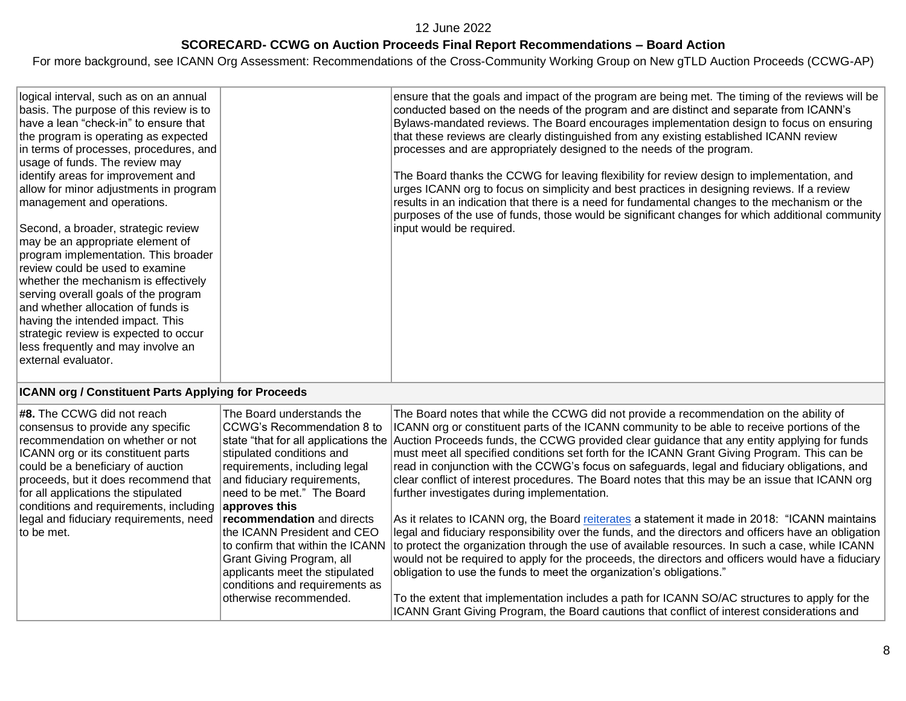### **SCORECARD- CCWG on Auction Proceeds Final Report Recommendations – Board Action**

For more background, see ICANN Org Assessment: Recommendations of the Cross-Community Working Group on New gTLD Auction Proceeds (CCWG-AP)

| logical interval, such as on an annual<br>basis. The purpose of this review is to<br>have a lean "check-in" to ensure that<br>the program is operating as expected<br>in terms of processes, procedures, and<br>usage of funds. The review may                                                                                                                                                                      | ensure that the goals and impact of the program are being met. The timing of the reviews will be<br>conducted based on the needs of the program and are distinct and separate from ICANN's<br>Bylaws-mandated reviews. The Board encourages implementation design to focus on ensuring<br>that these reviews are clearly distinguished from any existing established ICANN review<br>processes and are appropriately designed to the needs of the program. |
|---------------------------------------------------------------------------------------------------------------------------------------------------------------------------------------------------------------------------------------------------------------------------------------------------------------------------------------------------------------------------------------------------------------------|------------------------------------------------------------------------------------------------------------------------------------------------------------------------------------------------------------------------------------------------------------------------------------------------------------------------------------------------------------------------------------------------------------------------------------------------------------|
| identify areas for improvement and<br>allow for minor adjustments in program<br>management and operations.                                                                                                                                                                                                                                                                                                          | The Board thanks the CCWG for leaving flexibility for review design to implementation, and<br>urges ICANN org to focus on simplicity and best practices in designing reviews. If a review<br>results in an indication that there is a need for fundamental changes to the mechanism or the<br>purposes of the use of funds, those would be significant changes for which additional community                                                              |
| Second, a broader, strategic review<br>may be an appropriate element of<br>program implementation. This broader<br>review could be used to examine<br>whether the mechanism is effectively<br>serving overall goals of the program<br>and whether allocation of funds is<br>having the intended impact. This<br>strategic review is expected to occur<br>less frequently and may involve an<br>lexternal evaluator. | input would be required.                                                                                                                                                                                                                                                                                                                                                                                                                                   |

## **ICANN org / Constituent Parts Applying for Proceeds**

| #8. The CCWG did not reach<br>consensus to provide any specific<br>recommendation on whether or not<br>ICANN org or its constituent parts<br>could be a beneficiary of auction<br>proceeds, but it does recommend that<br>for all applications the stipulated<br>conditions and requirements, including | The Board understands the<br>CCWG's Recommendation 8 to<br>stipulated conditions and<br>requirements, including legal<br>and fiduciary requirements,<br>need to be met." The Board<br>approves this                             | The Board notes that while the CCWG did not provide a recommendation on the ability of<br>ICANN org or constituent parts of the ICANN community to be able to receive portions of the<br>state "that for all applications the Auction Proceeds funds, the CCWG provided clear guidance that any entity applying for funds<br>must meet all specified conditions set forth for the ICANN Grant Giving Program. This can be<br>read in conjunction with the CCWG's focus on safeguards, legal and fiduciary obligations, and<br>clear conflict of interest procedures. The Board notes that this may be an issue that ICANN org<br>further investigates during implementation.            |
|---------------------------------------------------------------------------------------------------------------------------------------------------------------------------------------------------------------------------------------------------------------------------------------------------------|---------------------------------------------------------------------------------------------------------------------------------------------------------------------------------------------------------------------------------|-----------------------------------------------------------------------------------------------------------------------------------------------------------------------------------------------------------------------------------------------------------------------------------------------------------------------------------------------------------------------------------------------------------------------------------------------------------------------------------------------------------------------------------------------------------------------------------------------------------------------------------------------------------------------------------------|
| legal and fiduciary requirements, need<br>to be met.                                                                                                                                                                                                                                                    | <b>recommendation</b> and directs<br>the ICANN President and CEO<br>to confirm that within the ICANN<br>Grant Giving Program, all<br>applicants meet the stipulated<br>conditions and requirements as<br>otherwise recommended. | As it relates to ICANN org, the Board reiterates a statement it made in 2018: "ICANN maintains<br>legal and fiduciary responsibility over the funds, and the directors and officers have an obligation<br>to protect the organization through the use of available resources. In such a case, while ICANN<br>would not be required to apply for the proceeds, the directors and officers would have a fiduciary<br>obligation to use the funds to meet the organization's obligations."<br>To the extent that implementation includes a path for ICANN SO/AC structures to apply for the<br>ICANN Grant Giving Program, the Board cautions that conflict of interest considerations and |